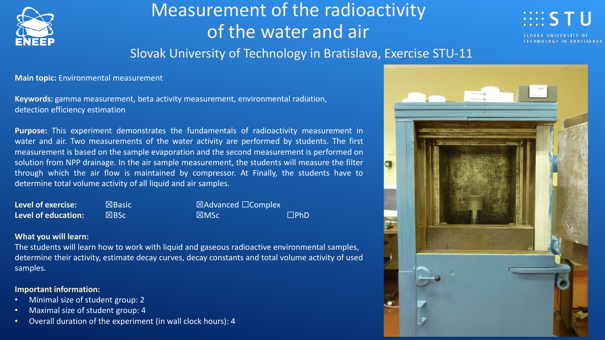

# Measurement of the radioactivity of the water and air



### Slovak University of Technology in Bratislava, Exercise STU-11

**Main topic:** Environmental measurement

**Keywords:** gamma measurement, beta activity measurement, environmental radiation, detection efficiency estimation

**Purpose:** This experiment demonstrates the fundamentals of radioactivity measurement in water and air. Two measurements of the water activity are performed by students. The first measurement is based on the sample evaporation and the second measurement is performed on solution from NPP drainage. In the air sample measurement, the students will measure the filter through which the air flow is maintained by compressor. At Finally, the students have to determine total volume activity of all liquid and air samples.

| <b>Level of exercise:</b>  | $\mathsf{I}\boxtimes\mathsf{Basic}$ | $\boxtimes$ Advanced $\Box$ Complex |            |
|----------------------------|-------------------------------------|-------------------------------------|------------|
| <b>Level of education:</b> | $X$ BSc                             | M <sub>SC</sub>                     | $\Box$ PhD |

### **What you will learn:**

The students will learn how to work with liquid and gaseous radioactive environmental samples, determine their activity, estimate decay curves, decay constants and total volume activity of used samples.

### **Important information:**

- Minimal size of student group: 2
- Maximal size of student group: 4
- Overall duration of the experiment (in wall clock hours): 4